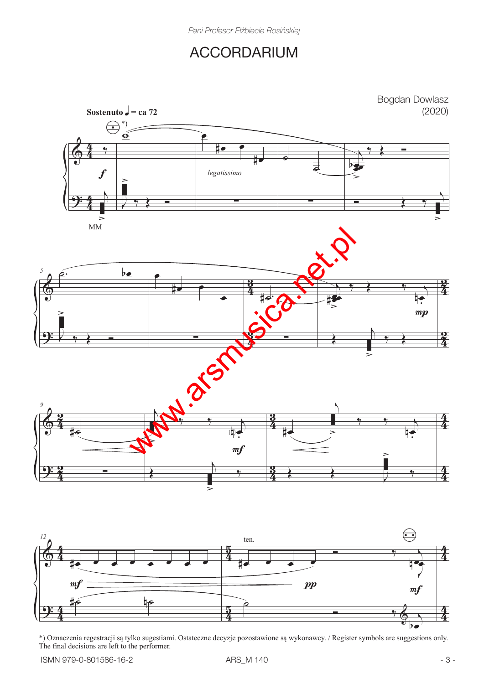## ACCORDARIUM



\*) Oznaczenia regestracji są tylko sugestiami. Ostateczne decyzje pozostawione są wykonawcy. / Register symbols are suggestions only. The final decisions are left to the performer.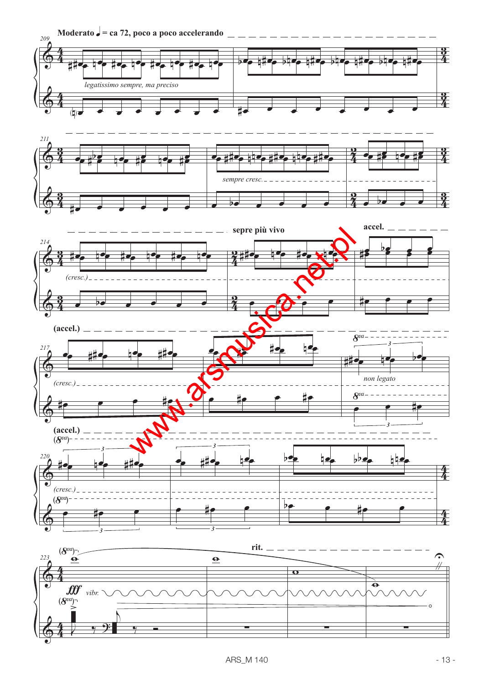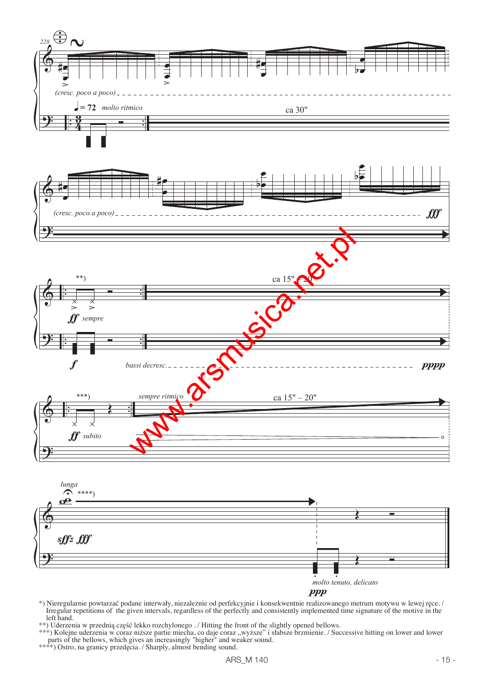





- \*) Nieregularnie powtarzać podane interwały, niezależnie od perfekcyjnie i konsekwentnie realizowanego metrum motywu w lewej ręce. / Irregular repetitions of the given intervals, regardless of the perfectly and consistently implemented time signature of the motive in the left hand.
- \*\*) Uderzenia w przednią część lekko rozchylonego . / Hitting the front of the slightly opened bellows.
- \*\*\*) Kolejne uderzenia w coraz niższe partie miecha, co daje coraz "wyższe" i słabsze brzmienie. / Successive hitting on lower and lower parts of the bellows, which gives an increasingly "higher" and weaker sound.
- \*\*\*\*) Ostro, na granicy przedęcia. / Sharply, almost bending sound.